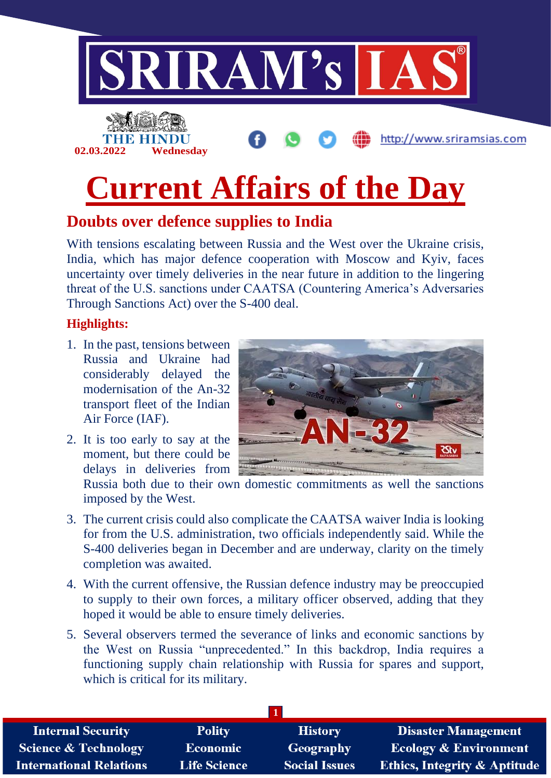

## **Doubts over defence supplies to India**

With tensions escalating between Russia and the West over the Ukraine crisis, India, which has major defence cooperation with Moscow and Kyiv, faces uncertainty over timely deliveries in the near future in addition to the lingering threat of the U.S. sanctions under CAATSA (Countering America's Adversaries Through Sanctions Act) over the S-400 deal.

#### **Highlights:**

- 1. In the past, tensions between Russia and Ukraine had considerably delayed the modernisation of the An-32 transport fleet of the Indian Air Force (IAF).
- 2. It is too early to say at the moment, but there could be delays in deliveries from



Russia both due to their own domestic commitments as well the sanctions imposed by the West.

- 3. The current crisis could also complicate the CAATSA waiver India is looking for from the U.S. administration, two officials independently said. While the S-400 deliveries began in December and are underway, clarity on the timely completion was awaited.
- 4. With the current offensive, the Russian defence industry may be preoccupied to supply to their own forces, a military officer observed, adding that they hoped it would be able to ensure timely deliveries.
- 5. Several observers termed the severance of links and economic sanctions by the West on Russia "unprecedented." In this backdrop, India requires a functioning supply chain relationship with Russia for spares and support, which is critical for its military.

| <b>Internal Security</b>        | <b>Polity</b>       | <b>History</b>       | <b>Disaster Management</b>              |
|---------------------------------|---------------------|----------------------|-----------------------------------------|
| <b>Science &amp; Technology</b> | <b>Economic</b>     | Geography            | <b>Ecology &amp; Environment</b>        |
| <b>International Relations</b>  | <b>Life Science</b> | <b>Social Issues</b> | <b>Ethics, Integrity &amp; Aptitude</b> |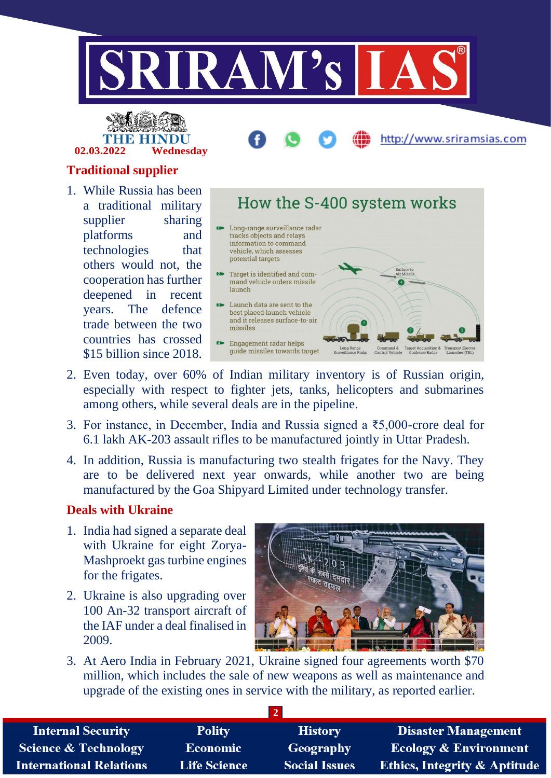



# http://www.sriramsias.com

#### **Traditional supplier**

1. While Russia has been a traditional military supplier sharing platforms and technologies that others would not, the cooperation has further deepened in recent years. The defence trade between the two countries has crossed \$15 billion since 2018.



- 2. Even today, over 60% of Indian military inventory is of Russian origin, especially with respect to fighter jets, tanks, helicopters and submarines among others, while several deals are in the pipeline.
- 3. For instance, in December, India and Russia signed a ₹5,000-crore deal for 6.1 lakh AK-203 assault rifles to be manufactured jointly in Uttar Pradesh.
- 4. In addition, Russia is manufacturing two stealth frigates for the Navy. They are to be delivered next year onwards, while another two are being manufactured by the Goa Shipyard Limited under technology transfer.

#### **Deals with Ukraine**

- 1. India had signed a separate deal with Ukraine for eight Zorya-Mashproekt gas turbine engines for the frigates.
- 2. Ukraine is also upgrading over 100 An-32 transport aircraft of the IAF under a deal finalised in 2009.



3. At Aero India in February 2021, Ukraine signed four agreements worth \$70 million, which includes the sale of new weapons as well as maintenance and upgrade of the existing ones in service with the military, as reported earlier.

| <b>Internal Security</b>        | <b>Polity</b>       | <b>History</b>       | <b>Disaster Management</b>              |
|---------------------------------|---------------------|----------------------|-----------------------------------------|
| <b>Science &amp; Technology</b> | <b>Economic</b>     | Geography            | <b>Ecology &amp; Environment</b>        |
| <b>International Relations</b>  | <b>Life Science</b> | <b>Social Issues</b> | <b>Ethics, Integrity &amp; Aptitude</b> |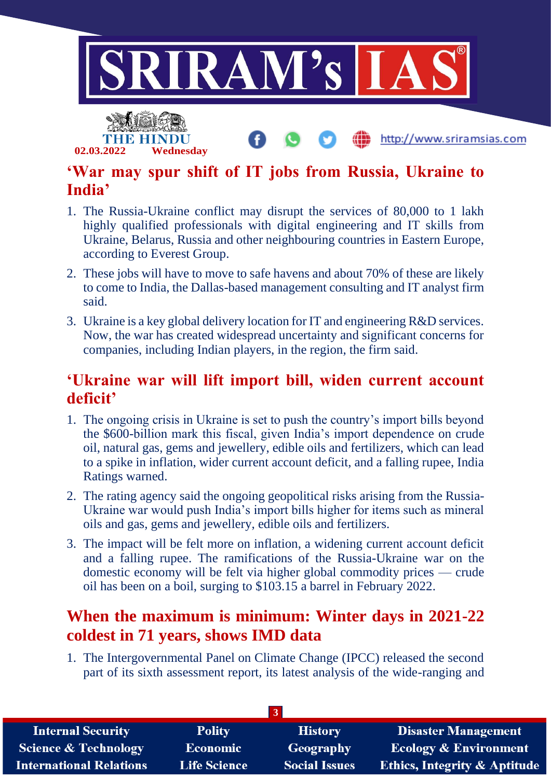

# **'War may spur shift of IT jobs from Russia, Ukraine to India'**

**02.03.2022 Wednesday**

- 1. The Russia-Ukraine conflict may disrupt the services of 80,000 to 1 lakh highly qualified professionals with digital engineering and IT skills from Ukraine, Belarus, Russia and other neighbouring countries in Eastern Europe, according to Everest Group.
- 2. These jobs will have to move to safe havens and about 70% of these are likely to come to India, the Dallas-based management consulting and IT analyst firm said.
- 3. Ukraine is a key global delivery location for IT and engineering R&D services. Now, the war has created widespread uncertainty and significant concerns for companies, including Indian players, in the region, the firm said.

# **'Ukraine war will lift import bill, widen current account deficit'**

- 1. The ongoing crisis in Ukraine is set to push the country's import bills beyond the \$600-billion mark this fiscal, given India's import dependence on crude oil, natural gas, gems and jewellery, edible oils and fertilizers, which can lead to a spike in inflation, wider current account deficit, and a falling rupee, India Ratings warned.
- 2. The rating agency said the ongoing geopolitical risks arising from the Russia-Ukraine war would push India's import bills higher for items such as mineral oils and gas, gems and jewellery, edible oils and fertilizers.
- 3. The impact will be felt more on inflation, a widening current account deficit and a falling rupee. The ramifications of the Russia-Ukraine war on the domestic economy will be felt via higher global commodity prices — crude oil has been on a boil, surging to \$103.15 a barrel in February 2022.

# **When the maximum is minimum: Winter days in 2021-22 coldest in 71 years, shows IMD data**

1. The Intergovernmental Panel on Climate Change (IPCC) released the second part of its sixth assessment report, its latest analysis of the wide-ranging and

| <b>Internal Security</b>        | <b>Polity</b>       | <b>History</b>       | <b>Disaster Management</b>              |  |
|---------------------------------|---------------------|----------------------|-----------------------------------------|--|
| <b>Science &amp; Technology</b> | <b>Economic</b>     | Geography            | <b>Ecology &amp; Environment</b>        |  |
| <b>International Relations</b>  | <b>Life Science</b> | <b>Social Issues</b> | <b>Ethics, Integrity &amp; Aptitude</b> |  |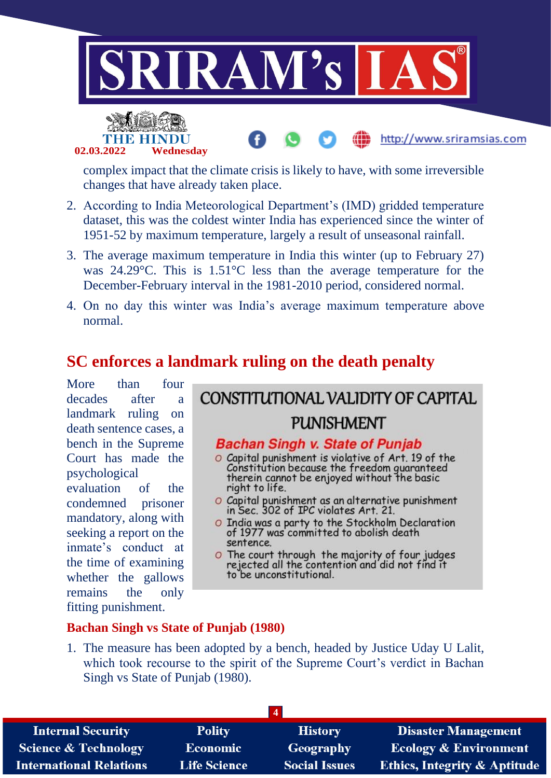



complex impact that the climate crisis is likely to have, with some irreversible changes that have already taken place.

- 2. According to India Meteorological Department's (IMD) gridded temperature dataset, this was the coldest winter India has experienced since the winter of 1951-52 by maximum temperature, largely a result of unseasonal rainfall.
- 3. The average maximum temperature in India this winter (up to February 27) was 24.29°C. This is 1.51°C less than the average temperature for the December-February interval in the 1981-2010 period, considered normal.
- 4. On no day this winter was India's average maximum temperature above normal.

### **SC enforces a landmark ruling on the death penalty**

More than four decades after a landmark ruling on death sentence cases, a bench in the Supreme Court has made the psychological evaluation of the condemned prisoner mandatory, along with seeking a report on the inmate's conduct at the time of examining whether the gallows remains the only fitting punishment.

# CONSTITUTIONAL VALIDITY OF CAPITAL **PUNISHMENT**

http://www.sriramsias.com

#### **Bachan Singh v. State of Punjab**

- O Capital punishment is violative of Art. 19 of the Constitution because the freedom guaranteed<br>therein cannot be enjoyed without the basic right to life.
- O Capital punishment as an alternative punishment in Sec. 302 of IPC violates Art. 21.
- O India was a party to the Stockholm Declaration of 1977 was committed to abolish death sentence.
- O The court through the majority of four judges<br>rejected all the contention and did not find it to be unconstitutional.

#### **Bachan Singh vs State of Punjab (1980)**

1. The measure has been adopted by a bench, headed by Justice Uday U Lalit, which took recourse to the spirit of the Supreme Court's verdict in Bachan Singh vs State of Punjab (1980).

| <b>Internal Security</b>        | <b>Polity</b>       | <b>History</b>       | <b>Disaster Management</b>              |
|---------------------------------|---------------------|----------------------|-----------------------------------------|
| <b>Science &amp; Technology</b> | Economic            | Geography            | <b>Ecology &amp; Environment</b>        |
| <b>International Relations</b>  | <b>Life Science</b> | <b>Social Issues</b> | <b>Ethics, Integrity &amp; Aptitude</b> |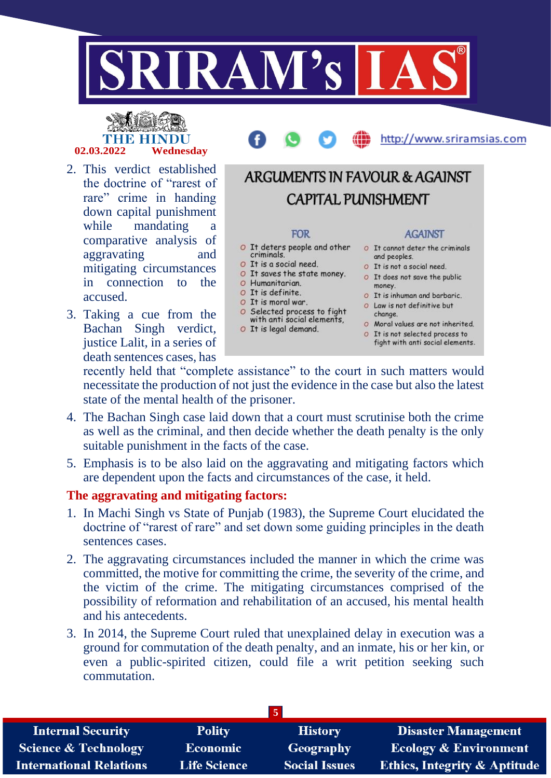

# **02.03.2022 Wednesday**

- 2. This verdict established the doctrine of "rarest of rare" crime in handing down capital punishment while mandating a comparative analysis of aggravating and mitigating circumstances in connection to the accused.
- 3. Taking a cue from the Bachan Singh verdict, justice Lalit, in a series of death sentences cases, has

# **ARGUMENTS IN FAVOUR & AGAINST CAPITAL PUNISHMENT FOR AGAINST**

- O It deters people and other criminals.
- O It is a social need.
- 
- O Humanitarian.
- O It is definite.
- O It is moral war. O Selected process to fight<br>with anti social elements,
- O It is legal demand.
- O It cannot deter the criminals and peoples.

http://www.sriramsias.com

- O It is not a social need.
- O It is a social need.<br>
O It saves the state money. O It does not save the public<br>
O Humanitarian money.
	- O It is inhuman and barbaric.
	- O Law is not definitive but change.
	- O Moral values are not inherited.
	- O It is not selected process to
	- fight with anti social elements.

recently held that "complete assistance" to the court in such matters would necessitate the production of not just the evidence in the case but also the latest state of the mental health of the prisoner.

- 4. The Bachan Singh case laid down that a court must scrutinise both the crime as well as the criminal, and then decide whether the death penalty is the only suitable punishment in the facts of the case.
- 5. Emphasis is to be also laid on the aggravating and mitigating factors which are dependent upon the facts and circumstances of the case, it held.

#### **The aggravating and mitigating factors:**

- 1. In Machi Singh vs State of Punjab (1983), the Supreme Court elucidated the doctrine of "rarest of rare" and set down some guiding principles in the death sentences cases.
- 2. The aggravating circumstances included the manner in which the crime was committed, the motive for committing the crime, the severity of the crime, and the victim of the crime. The mitigating circumstances comprised of the possibility of reformation and rehabilitation of an accused, his mental health and his antecedents.
- 3. In 2014, the Supreme Court ruled that unexplained delay in execution was a ground for commutation of the death penalty, and an inmate, his or her kin, or even a public-spirited citizen, could file a writ petition seeking such commutation.

| <b>Internal Security</b>        | <b>Polity</b>       | <b>History</b>       | <b>Disaster Management</b>              |  |
|---------------------------------|---------------------|----------------------|-----------------------------------------|--|
| <b>Science &amp; Technology</b> | <b>Economic</b>     | Geography            | <b>Ecology &amp; Environment</b>        |  |
| <b>International Relations</b>  | <b>Life Science</b> | <b>Social Issues</b> | <b>Ethics, Integrity &amp; Aptitude</b> |  |